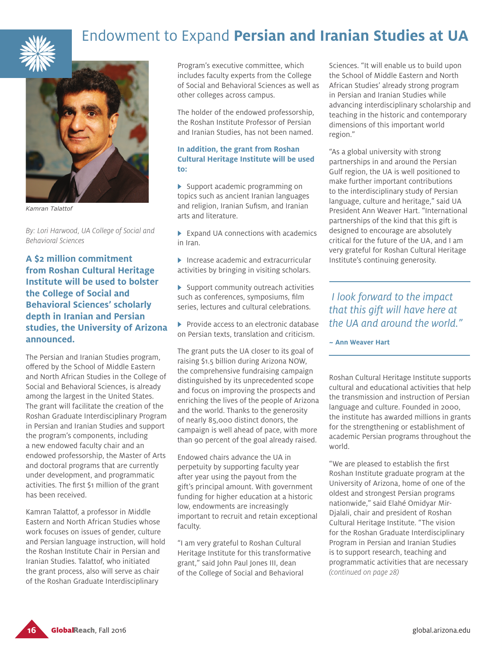

## Endowment to Expand **Persian and Iranian Studies at UA**



*Kamran Talattof*

*By: Lori Harwood, UA College of Social and Behavioral Sciences*

**A \$2 million commitment from Roshan Cultural Heritage Institute will be used to bolster the College of Social and Behavioral Sciences' scholarly depth in Iranian and Persian studies, the University of Arizona announced.**

The Persian and Iranian Studies program, offered by the School of Middle Eastern and North African Studies in the College of Social and Behavioral Sciences, is already among the largest in the United States. The grant will facilitate the creation of the Roshan Graduate Interdisciplinary Program in Persian and Iranian Studies and support the program's components, including a new endowed faculty chair and an endowed professorship, the Master of Arts and doctoral programs that are currently under development, and programmatic activities. The first \$1 million of the grant has been received.

Kamran Talattof, a professor in Middle Eastern and North African Studies whose work focuses on issues of gender, culture and Persian language instruction, will hold the Roshan Institute Chair in Persian and Iranian Studies. Talattof, who initiated the grant process, also will serve as chair of the Roshan Graduate Interdisciplinary

Program's executive committee, which includes faculty experts from the College of Social and Behavioral Sciences as well as other colleges across campus.

The holder of the endowed professorship, the Roshan Institute Professor of Persian and Iranian Studies, has not been named.

### **In addition, the grant from Roshan Cultural Heritage Institute will be used to:**

 $\blacktriangleright$  Support academic programming on topics such as ancient Iranian languages and religion, Iranian Sufism, and Iranian arts and literature.

 $\blacktriangleright$  Expand UA connections with academics in Iran.

 $\blacktriangleright$  Increase academic and extracurricular activities by bringing in visiting scholars.

 $\blacktriangleright$  Support community outreach activities such as conferences, symposiums, film series, lectures and cultural celebrations.

 $\blacktriangleright$  Provide access to an electronic database on Persian texts, translation and criticism.

The grant puts the UA closer to its goal of raising \$1.5 billion during Arizona NOW, the comprehensive fundraising campaign distinguished by its unprecedented scope and focus on improving the prospects and enriching the lives of the people of Arizona and the world. Thanks to the generosity of nearly 85,000 distinct donors, the campaign is well ahead of pace, with more than 90 percent of the goal already raised.

Endowed chairs advance the UA in perpetuity by supporting faculty year after year using the payout from the gift's principal amount. With government funding for higher education at a historic low, endowments are increasingly important to recruit and retain exceptional faculty.

"I am very grateful to Roshan Cultural Heritage Institute for this transformative grant," said John Paul Jones III, dean of the College of Social and Behavioral

Sciences. "It will enable us to build upon the School of Middle Eastern and North African Studies' already strong program in Persian and Iranian Studies while advancing interdisciplinary scholarship and teaching in the historic and contemporary dimensions of this important world region."

"As a global university with strong partnerships in and around the Persian Gulf region, the UA is well positioned to make further important contributions to the interdisciplinary study of Persian language, culture and heritage," said UA President Ann Weaver Hart. "International partnerships of the kind that this gift is designed to encourage are absolutely critical for the future of the UA, and I am very grateful for Roshan Cultural Heritage Institute's continuing generosity.

### *I look forward to the impact that this gift will have here at the UA and around the world."*

**~ Ann Weaver Hart**

Roshan Cultural Heritage Institute supports cultural and educational activities that help the transmission and instruction of Persian language and culture. Founded in 2000, the institute has awarded millions in grants for the strengthening or establishment of academic Persian programs throughout the world.

"We are pleased to establish the first Roshan Institute graduate program at the University of Arizona, home of one of the oldest and strongest Persian programs nationwide," said Elahé Omidyar Mir-Djalali, chair and president of Roshan Cultural Heritage Institute. "The vision for the Roshan Graduate Interdisciplinary Program in Persian and Iranian Studies is to support research, teaching and programmatic activities that are necessary *(continued on page 28)*